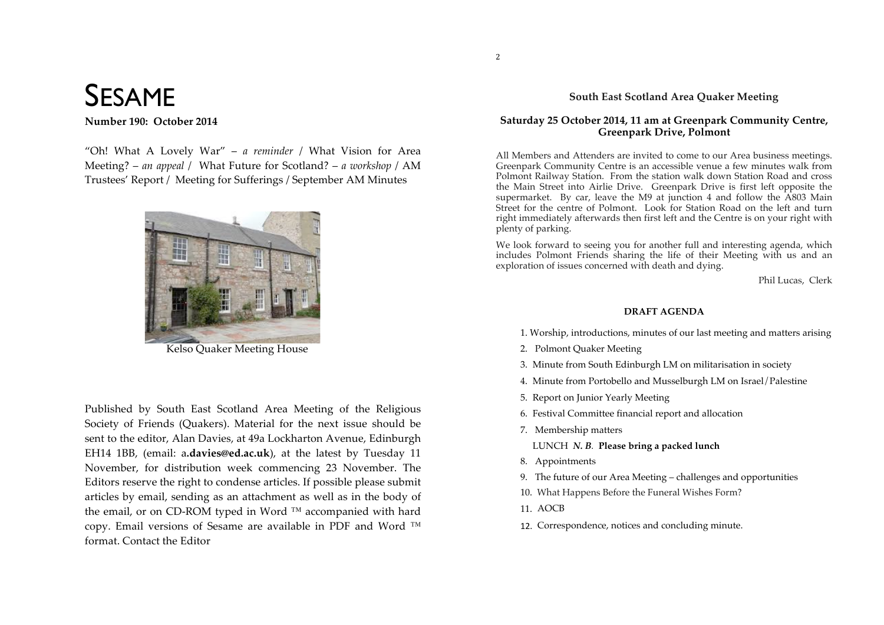# SESAME

Number 190: October 2014

"Oh! What A Lovely War" – *a reminder* / What Vision for Area Meeting? – *an appeal* / What Future for Scotland? – *a workshop* / AM Trustees' Report / Meeting for Sufferings / September AM Minutes



Kelso Quaker Meeting House

Published by South East Scotland Area Meeting of the Religious Society of Friends (Quakers). Material for the next issue should be sent to the editor, Alan Davies, at 49a Lockharton Avenue, Edinburgh EH14 1BB, (email: a.davies@ed.ac.uk), at the latest by Tuesday 11 November, for distribution week commencing 23 November. The Editors reserve the right to condense articles. If possible please submit articles by email, sending as an attachment as well as in the body of the email, or on CD-ROM typed in Word ™ accompanied with hard copy. Email versions of Sesame are available in PDF and Word ™ format. Contact the Editor

#### **South East Scotland Area Quaker Meeting**

#### **Saturday 25 October 2014, 11 am at Greenpark Community Centre, Greenpark Drive, Polmont**

All Members and Attenders are invited to come to our Area business meetings. Greenpark Community Centre is an accessible venue a few minutes walk from Polmont Railway Station. From the station walk down Station Road and cross the Main Street into Airlie Drive. Greenpark Drive is first left opposite the supermarket. By car, leave the M9 at junction 4 and follow the A803 Main Street for the centre of Polmont. Look for Station Road on the left and turn right immediately afterwards then first left and the Centre is on your right with plenty of parking.

We look forward to seeing you for another full and interesting agenda, which includes Polmont Friends sharing the life of their Meeting with us and an exploration of issues concerned with death and dying.

Phil Lucas, Clerk

#### **DRAFT AGENDA**

1. Worship, introductions, minutes of our last meeting and matters arising

- 2. Polmont Quaker Meeting
- 3. Minute from South Edinburgh LM on militarisation in society
- 4. Minute from Portobello and Musselburgh LM on Israel/Palestine
- 5. Report on Junior Yearly Meeting
- 6. Festival Committee financial report and allocation
- 7. Membership matters
	- LUNCH *N. B.* **Please bring a packed lunch**
- 8. Appointments
- 9. The future of our Area Meeting challenges and opportunities
- 10. What Happens Before the Funeral Wishes Form?
- 11. AOCB
- 12. Correspondence, notices and concluding minute.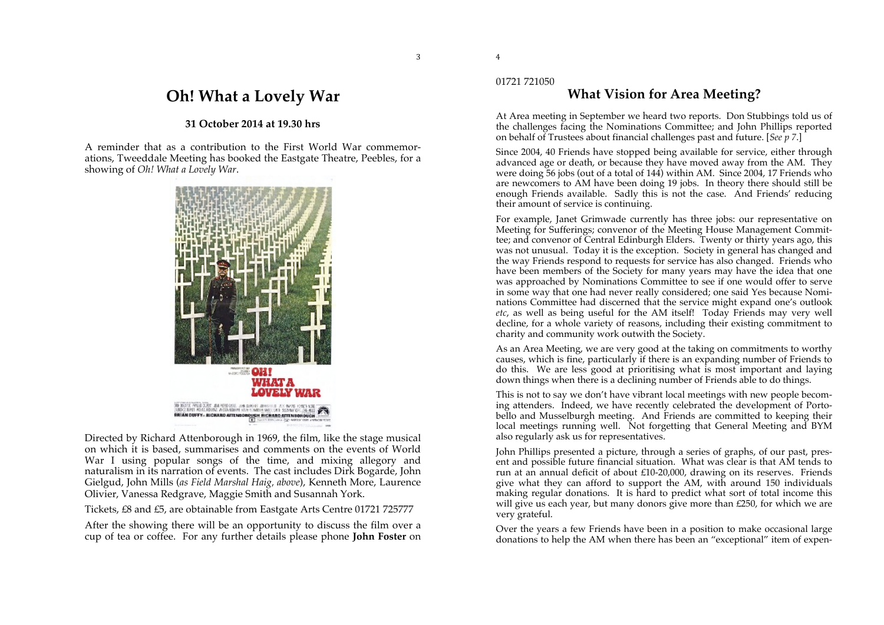# **Oh! What a Lovely War**

#### **31 October 2014 at 19.30 hrs**

A reminder that as a contribution to the First World War commemorations, Tweeddale Meeting has booked the Eastgate Theatre, Peebles, for a showing of *Oh! What a Lovely War*.



Directed by Richard Attenborough in 1969, the film, like the stage musical on which it is based, summarises and comments on the events of World War I using popular songs of the time, and mixing allegory and naturalism in its narration of events. The cast includes Dirk Bogarde, John Gielgud, John Mills (*as Field Marshal Haig, above*), Kenneth More, Laurence Olivier, Vanessa Redgrave, Maggie Smith and Susannah York.

Tickets, £8 and £5, are obtainable from Eastgate Arts Centre 01721 725777

After the showing there will be an opportunity to discuss the film over a cup of tea or coffee. For any further details please phone **John Foster** on

#### 01721 721050

4

# **What Vision for Area Meeting?**

At Area meeting in September we heard two reports. Don Stubbings told us of the challenges facing the Nominations Committee; and John Phillips reported on behalf of Trustees about financial challenges past and future. [*See p 7*.]

Since 2004, 40 Friends have stopped being available for service, either through advanced age or death, or because they have moved away from the AM. They were doing 56 jobs (out of a total of 144) within AM. Since 2004, 17 Friends who are newcomers to AM have been doing 19 jobs. In theory there should still be enough Friends available. Sadly this is not the case. And Friends' reducing their amount of service is continuing.

For example, Janet Grimwade currently has three jobs: our representative on Meeting for Sufferings; convenor of the Meeting House Management Committee; and convenor of Central Edinburgh Elders. Twenty or thirty years ago, this was not unusual. Today it is the exception. Society in general has changed and the way Friends respond to requests for service has also changed. Friends who have been members of the Society for many years may have the idea that one was approached by Nominations Committee to see if one would offer to serve in some way that one had never really considered; one said Yes because Nominations Committee had discerned that the service might expand one's outlook *etc*, as well as being useful for the AM itself! Today Friends may very well decline, for a whole variety of reasons, including their existing commitment to charity and community work outwith the Society.

As an Area Meeting, we are very good at the taking on commitments to worthy causes, which is fine, particularly if there is an expanding number of Friends to do this. We are less good at prioritising what is most important and laying down things when there is a declining number of Friends able to do things.

This is not to say we don't have vibrant local meetings with new people becoming attenders. Indeed, we have recently celebrated the development of Portobello and Musselburgh meeting. And Friends are committed to keeping their local meetings running well. Not forgetting that General Meeting and BYM also regularly ask us for representatives.

John Phillips presented a picture, through a series of graphs, of our past, present and possible future financial situation. What was clear is that AM tends to run at an annual deficit of about £10-20,000, drawing on its reserves. Friends give what they can afford to support the AM, with around 150 individuals making regular donations. It is hard to predict what sort of total income this will give us each year, but many donors give more than £250, for which we are very grateful.

Over the years a few Friends have been in a position to make occasional large donations to help the AM when there has been an "exceptional" item of expen-

3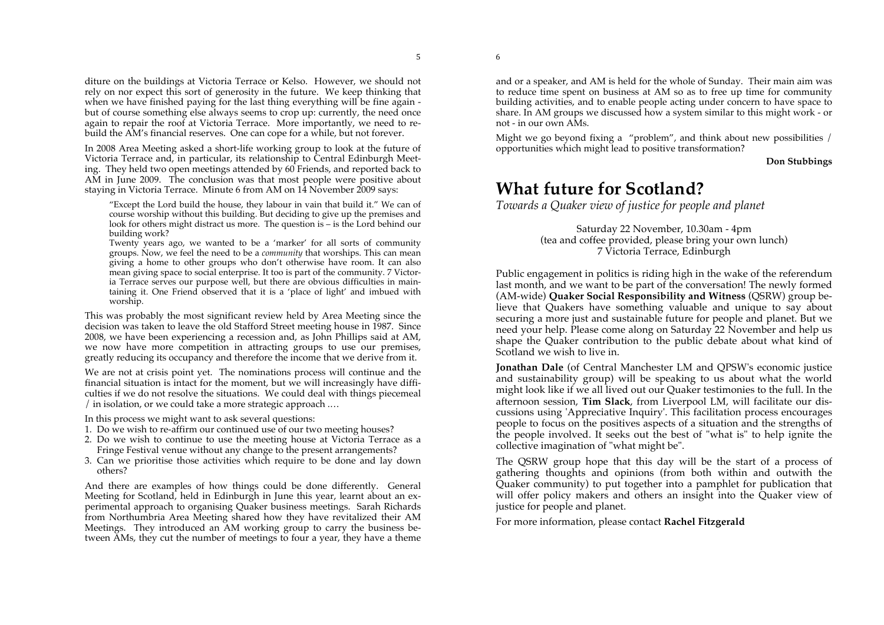diture on the buildings at Victoria Terrace or Kelso. However, we should not rely on nor expect this sort of generosity in the future. We keep thinking that when we have finished paying for the last thing everything will be fine again but of course something else always seems to crop up: currently, the need once again to repair the roof at Victoria Terrace. More importantly, we need to rebuild the AM's financial reserves. One can cope for a while, but not forever.

In 2008 Area Meeting asked a short-life working group to look at the future of Victoria Terrace and, in particular, its relationship to Central Edinburgh Meeting. They held two open meetings attended by 60 Friends, and reported back to AM in June 2009. The conclusion was that most people were positive about staying in Victoria Terrace. Minute 6 from AM on 14 November 2009 says:

"Except the Lord build the house, they labour in vain that build it." We can of course worship without this building. But deciding to give up the premises and look for others might distract us more.The question is – is the Lord behind our building work?

Twenty years ago, we wanted to be a 'marker' for all sorts of community groups. Now, we feel the need to be a *community* that worships. This can mean giving a home to other groups who don't otherwise have room. It can also mean giving space to social enterprise. It too is part of the community. 7 Victoria Terrace serves our purpose well, but there are obvious difficulties in maintaining it. One Friend observed that it is a 'place of light' and imbued with worship.

This was probably the most significant review held by Area Meeting since the decision was taken to leave the old Stafford Street meeting house in 1987. Since 2008, we have been experiencing a recession and, as John Phillips said at AM, we now have more competition in attracting groups to use our premises, greatly reducing its occupancy and therefore the income that we derive from it.

We are not at crisis point yet. The nominations process will continue and the financial situation is intact for the moment, but we will increasingly have difficulties if we do not resolve the situations. We could deal with things piecemeal / in isolation, or we could take a more strategic approach .…

In this process we might want to ask several questions:

- 1. Do we wish to re-affirm our continued use of our two meeting houses?
- 2. Do we wish to continue to use the meeting house at Victoria Terrace as a Fringe Festival venue without any change to the present arrangements?
- 3. Can we prioritise those activities which require to be done and lay down others?

And there are examples of how things could be done differently. General Meeting for Scotland, held in Edinburgh in June this year, learnt about an experimental approach to organising Quaker business meetings. Sarah Richards from Northumbria Area Meeting shared how they have revitalized their AM Meetings. They introduced an AM working group to carry the business between AMs, they cut the number of meetings to four a year, they have a theme

and or a speaker, and AM is held for the whole of Sunday. Their main aim was to reduce time spent on business at AM so as to free up time for community building activities, and to enable people acting under concern to have space to share. In AM groups we discussed how a system similar to this might work - or not - in our own AMs.

Might we go beyond fixing a "problem", and think about new possibilities / opportunities which might lead to positive transformation?

**Don Stubbings**

# **What future for Scotland?**

*Towards a Quaker view of justice for people and planet*

Saturday 22 November, 10.30am - 4pm (tea and coffee provided, please bring your own lunch) 7 Victoria Terrace, Edinburgh

Public engagement in politics is riding high in the wake of the referendum last month, and we want to be part of the conversation! The newly formed (AM-wide) **Quaker Social Responsibility and Witness** (QSRW) group believe that Quakers have something valuable and unique to say about securing a more just and sustainable future for people and planet. But we need your help. Please come along on Saturday 22 November and help us shape the Quaker contribution to the public debate about what kind of Scotland we wish to live in.

**Jonathan Dale** (of Central Manchester LM and QPSW's economic justice and sustainability group) will be speaking to us about what the world might look like if we all lived out our Quaker testimonies to the full. In the afternoon session, **Tim Slack**, from Liverpool LM, will facilitate our discussions using 'Appreciative Inquiry'. This facilitation process encourages people to focus on the positives aspects of a situation and the strengths of the people involved. It seeks out the best of "what is" to help ignite the collective imagination of "what might be".

The QSRW group hope that this day will be the start of a process of gathering thoughts and opinions (from both within and outwith the Quaker community) to put together into a pamphlet for publication that will offer policy makers and others an insight into the Quaker view of justice for people and planet.

For more information, please contact **Rachel Fitzgerald**

5

6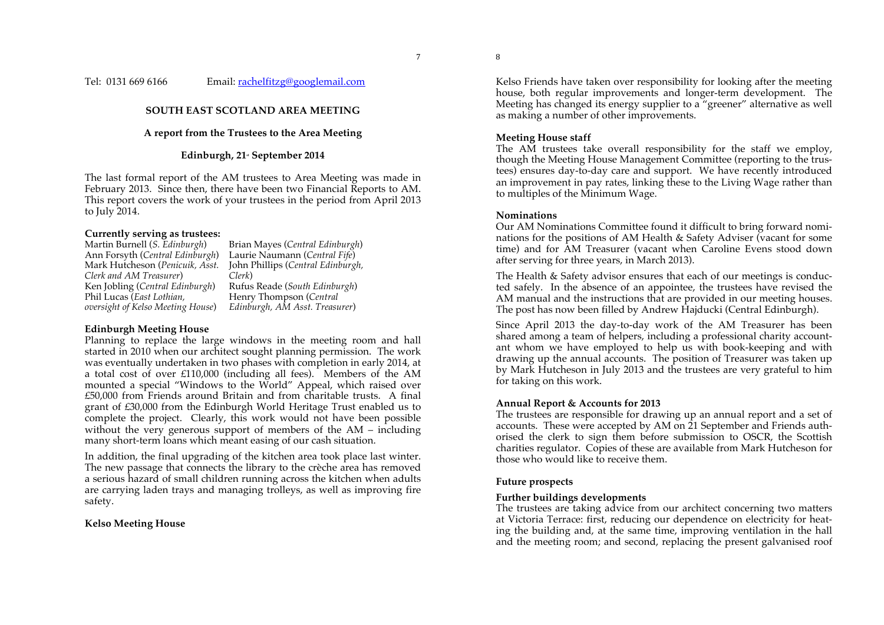#### Tel: 0131 669 6166 Email: rachelfitzg@googlemail.com

#### **SOUTH EAST SCOTLAND AREA MEETING**

#### **A report from the Trustees to the Area Meeting**

#### **Edinburgh, 21<sup>s</sup> September 2014**

The last formal report of the AM trustees to Area Meeting was made in February 2013. Since then, there have been two Financial Reports to AM. This report covers the work of your trustees in the period from April 2013 to July 2014.

# **Currently serving as trustees:**

Ann Forsyth (*Central Edinburgh*) Mark Hutcheson (*Penicuik, Asst. Clerk and AM Treasurer*) Ken Jobling (*Central Edinburgh*) Rufus Reade (*South Edinburgh*) Phil Lucas (*East Lothian, oversight of Kelso Meeting House*)

Brian Mayes (*Central Edinburgh*) Laurie Naumann (*Central Fife*) John Phillips (*Central Edinburgh, Clerk*) Henry Thompson (*Central Edinburgh, AM Asst. Treasurer*)

#### **Edinburgh Meeting House**

Planning to replace the large windows in the meeting room and hall started in 2010 when our architect sought planning permission. The work was eventually undertaken in two phases with completion in early 2014, at a total cost of over £110,000 (including all fees). Members of the AM mounted a special "Windows to the World" Appeal, which raised over £50,000 from Friends around Britain and from charitable trusts. A final grant of £30,000 from the Edinburgh World Heritage Trust enabled us to complete the project. Clearly, this work would not have been possible without the very generous support of members of the AM – including many short-term loans which meant easing of our cash situation.

In addition, the final upgrading of the kitchen area took place last winter. The new passage that connects the library to the crèche area has removed a serious hazard of small children running across the kitchen when adults are carrying laden trays and managing trolleys, as well as improving fire safety.

#### **Kelso Meeting House**

Kelso Friends have taken over responsibility for looking after the meeting house, both regular improvements and longer-term development. The Meeting has changed its energy supplier to a "greener" alternative as well as making a number of other improvements.

#### **Meeting House staff**

The AM trustees take overall responsibility for the staff we employ, though the Meeting House Management Committee (reporting to the trustees) ensures day-to-day care and support. We have recently introduced an improvement in pay rates, linking these to the Living Wage rather than to multiples of the Minimum Wage.

#### **Nominations**

8

Our AM Nominations Committee found it difficult to bring forward nominations for the positions of AM Health & Safety Adviser (vacant for some time) and for AM Treasurer (vacant when Caroline Evens stood down after serving for three years, in March 2013).

The Health & Safety advisor ensures that each of our meetings is conducted safely. In the absence of an appointee, the trustees have revised the AM manual and the instructions that are provided in our meeting houses. The post has now been filled by Andrew Hajducki (Central Edinburgh).

Since April 2013 the day-to-day work of the AM Treasurer has been shared among a team of helpers, including a professional charity accountant whom we have employed to help us with book-keeping and with drawing up the annual accounts. The position of Treasurer was taken up by Mark Hutcheson in July 2013 and the trustees are very grateful to him for taking on this work.

#### **Annual Report & Accounts for 2013**

The trustees are responsible for drawing up an annual report and a set of accounts. These were accepted by AM on 21 September and Friends authorised the clerk to sign them before submission to OSCR, the Scottish charities regulator. Copies of these are available from Mark Hutcheson for those who would like to receive them.

#### **Future prospects**

#### **Further buildings developments**

The trustees are taking advice from our architect concerning two matters at Victoria Terrace: first, reducing our dependence on electricity for heating the building and, at the same time, improving ventilation in the hall and the meeting room; and second, replacing the present galvanised roof

7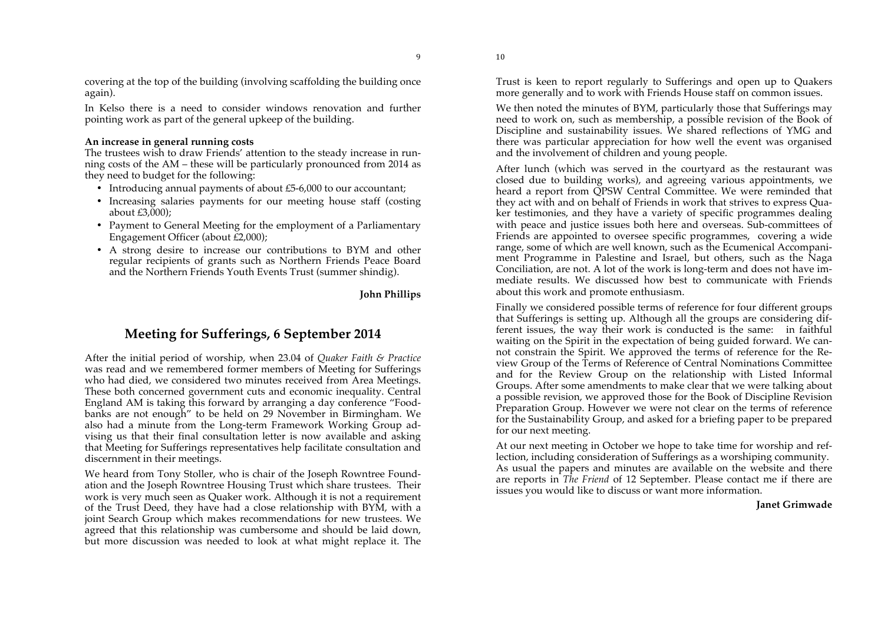9

covering at the top of the building (involving scaffolding the building once again).

In Kelso there is a need to consider windows renovation and further pointing work as part of the general upkeep of the building.

#### **An increase in general running costs**

The trustees wish to draw Friends' attention to the steady increase in running costs of the AM – these will be particularly pronounced from 2014 as they need to budget for the following:

- Introducing annual payments of about £5-6,000 to our accountant;
- Increasing salaries payments for our meeting house staff (costing about £3,000);
- Payment to General Meeting for the employment of a Parliamentary Engagement Officer (about £2,000);
- A strong desire to increase our contributions to BYM and other regular recipients of grants such as Northern Friends Peace Board and the Northern Friends Youth Events Trust (summer shindig).

#### **John Phillips**

### **Meeting for Sufferings, 6 September 2014**

After the initial period of worship, when 23.04 of *Quaker Faith & Practice*  was read and we remembered former members of Meeting for Sufferings who had died, we considered two minutes received from Area Meetings. These both concerned government cuts and economic inequality. Central England AM is taking this forward by arranging a day conference "Foodbanks are not enough" to be held on 29 November in Birmingham. We also had a minute from the Long-term Framework Working Group advising us that their final consultation letter is now available and asking that Meeting for Sufferings representatives help facilitate consultation and discernment in their meetings.

We heard from Tony Stoller, who is chair of the Joseph Rowntree Foundation and the Joseph Rowntree Housing Trust which share trustees. Their work is very much seen as Quaker work. Although it is not a requirement of the Trust Deed, they have had a close relationship with BYM, with a joint Search Group which makes recommendations for new trustees. We agreed that this relationship was cumbersome and should be laid down, but more discussion was needed to look at what might replace it. The

Trust is keen to report regularly to Sufferings and open up to Quakers more generally and to work with Friends House staff on common issues.

We then noted the minutes of BYM, particularly those that Sufferings may need to work on, such as membership, a possible revision of the Book of Discipline and sustainability issues. We shared reflections of YMG and there was particular appreciation for how well the event was organised and the involvement of children and young people.

After lunch (which was served in the courtyard as the restaurant was closed due to building works), and agreeing various appointments, we heard a report from QPSW Central Committee. We were reminded that they act with and on behalf of Friends in work that strives to express Quaker testimonies, and they have a variety of specific programmes dealing with peace and justice issues both here and overseas. Sub-committees of Friends are appointed to oversee specific programmes, covering a wide range, some of which are well known, such as the Ecumenical Accompaniment Programme in Palestine and Israel, but others, such as the Naga Conciliation, are not. A lot of the work is long-term and does not have immediate results. We discussed how best to communicate with Friends about this work and promote enthusiasm.

Finally we considered possible terms of reference for four different groups that Sufferings is setting up. Although all the groups are considering different issues, the way their work is conducted is the same: in faithful waiting on the Spirit in the expectation of being guided forward. We cannot constrain the Spirit. We approved the terms of reference for the Review Group of the Terms of Reference of Central Nominations Committee and for the Review Group on the relationship with Listed Informal Groups. After some amendments to make clear that we were talking about a possible revision, we approved those for the Book of Discipline Revision Preparation Group. However we were not clear on the terms of reference for the Sustainability Group, and asked for a briefing paper to be prepared for our next meeting.

At our next meeting in October we hope to take time for worship and reflection, including consideration of Sufferings as a worshiping community. As usual the papers and minutes are available on the website and there are reports in *The Friend* of 12 September. Please contact me if there are issues you would like to discuss or want more information.

#### **Janet Grimwade**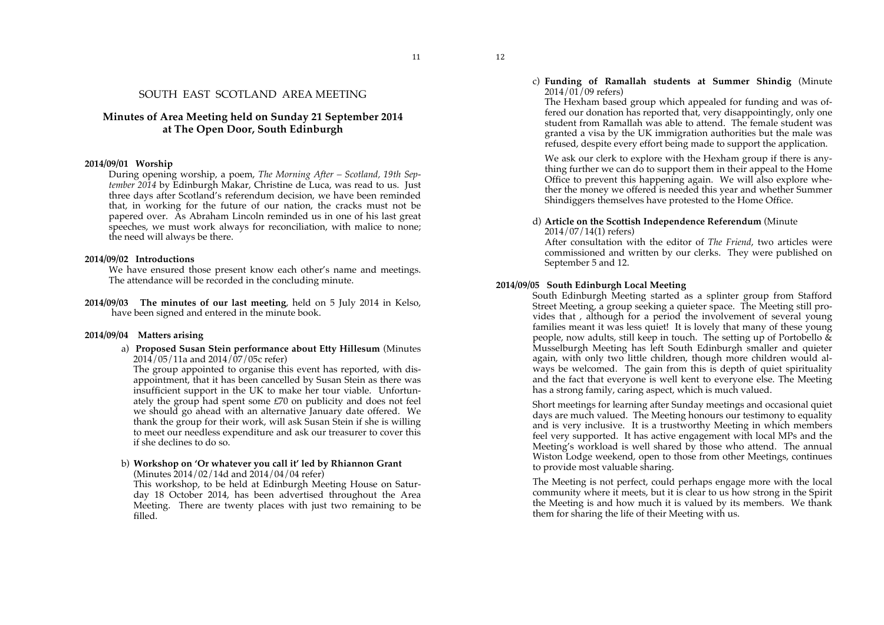11

#### SOUTH EAST SCOTLAND AREA MEETING

#### **Minutes of Area Meeting held on Sunday 21 September 2014 at The Open Door, South Edinburgh**

#### **2014/09/01 Worship**

During opening worship, a poem, *The Morning After – Scotland, 19th September 2014* by Edinburgh Makar, Christine de Luca, was read to us. Just three days after Scotland's referendum decision, we have been reminded that, in working for the future of our nation, the cracks must not be papered over. As Abraham Lincoln reminded us in one of his last great speeches, we must work always for reconciliation, with malice to none; the need will always be there.

#### **2014/09/02 Introductions**

We have ensured those present know each other's name and meetings. The attendance will be recorded in the concluding minute.

**2014/09/03 The minutes of our last meeting**, held on 5 July 2014 in Kelso, have been signed and entered in the minute book.

#### **2014/09/04 Matters arising**

a) **Proposed Susan Stein performance about Etty Hillesum** (Minutes  $2014/05/11a$  and  $2014/\overline{07}/05c$  refer)

The group appointed to organise this event has reported, with disappointment, that it has been cancelled by Susan Stein as there was insufficient support in the UK to make her tour viable. Unfortunately the group had spent some £70 on publicity and does not feel we should go ahead with an alternative January date offered. We thank the group for their work, will ask Susan Stein if she is willing to meet our needless expenditure and ask our treasurer to cover this if she declines to do so.

#### b) **Workshop on 'Or whatever you call it' led by Rhiannon Grant** (Minutes 2014/02/14d and 2014/04/04 refer)

This workshop, to be held at Edinburgh Meeting House on Saturday 18 October 2014, has been advertised throughout the Area Meeting. There are twenty places with just two remaining to be filled.

c) **Funding of Ramallah students at Summer Shindig** (Minute 2014/01/09 refers)

The Hexham based group which appealed for funding and was offered our donation has reported that, very disappointingly, only one student from Ramallah was able to attend. The female student was granted a visa by the UK immigration authorities but the male was refused, despite every effort being made to support the application.

We ask our clerk to explore with the Hexham group if there is anything further we can do to support them in their appeal to the Home Office to prevent this happening again. We will also explore whether the money we offered is needed this year and whether Summer Shindiggers themselves have protested to the Home Office.

#### d) **Article on the Scottish Independence Referendum** (Minute

#### 2014/07/14(1) refers)

After consultation with the editor of *The Friend*, two articles were commissioned and written by our clerks. They were published on September 5 and 12.

#### **2014/09/05 South Edinburgh Local Meeting**

South Edinburgh Meeting started as a splinter group from Stafford Street Meeting, a group seeking a quieter space. The Meeting still provides that , although for a period the involvement of several young families meant it was less quiet! It is lovely that many of these young people, now adults, still keep in touch. The setting up of Portobello  $\&$ Musselburgh Meeting has left South Edinburgh smaller and quieter again, with only two little children, though more children would always be welcomed. The gain from this is depth of quiet spirituality and the fact that everyone is well kent to everyone else. The Meeting has a strong family, caring aspect, which is much valued.

Short meetings for learning after Sunday meetings and occasional quiet days are much valued. The Meeting honours our testimony to equality and is very inclusive. It is a trustworthy Meeting in which members feel very supported. It has active engagement with local MPs and the Meeting's workload is well shared by those who attend. The annual Wiston Lodge weekend, open to those from other Meetings, continues to provide most valuable sharing.

The Meeting is not perfect, could perhaps engage more with the local community where it meets, but it is clear to us how strong in the Spirit the Meeting is and how much it is valued by its members. We thank them for sharing the life of their Meeting with us.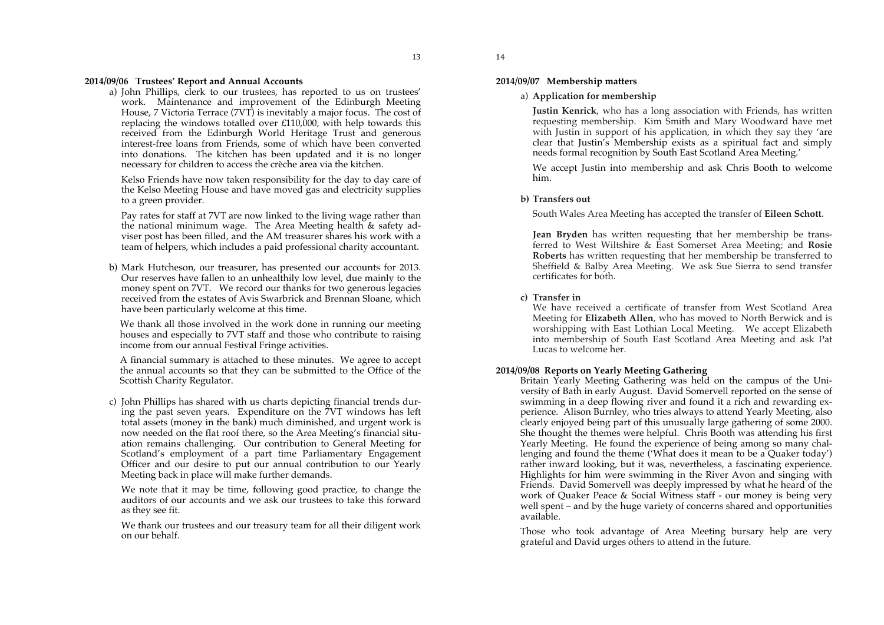#### **2014/09/06 Trustees' Report and Annual Accounts**

a) John Phillips, clerk to our trustees, has reported to us on trustees' work. Maintenance and improvement of the Edinburgh Meeting House, 7 Victoria Terrace (7VT) is inevitably a major focus. The cost of replacing the windows totalled over £110,000, with help towards this received from the Edinburgh World Heritage Trust and generous interest-free loans from Friends, some of which have been converted into donations. The kitchen has been updated and it is no longer necessary for children to access the crèche area via the kitchen.

Kelso Friends have now taken responsibility for the day to day care of the Kelso Meeting House and have moved gas and electricity supplies to a green provider.

Pay rates for staff at 7VT are now linked to the living wage rather than the national minimum wage. The Area Meeting health & safety adviser post has been filled, and the AM treasurer shares his work with a team of helpers, which includes a paid professional charity accountant.

b) Mark Hutcheson, our treasurer, has presented our accounts for 2013. Our reserves have fallen to an unhealthily low level, due mainly to the money spent on 7VT. We record our thanks for two generous legacies received from the estates of Avis Swarbrick and Brennan Sloane, which have been particularly welcome at this time.

We thank all those involved in the work done in running our meeting houses and especially to 7VT staff and those who contribute to raising income from our annual Festival Fringe activities.

A financial summary is attached to these minutes. We agree to accept the annual accounts so that they can be submitted to the Office of the Scottish Charity Regulator.

c) John Phillips has shared with us charts depicting financial trends during the past seven years. Expenditure on the 7VT windows has left total assets (money in the bank) much diminished, and urgent work is now needed on the flat roof there, so the Area Meeting's financial situation remains challenging. Our contribution to General Meeting for Scotland's employment of a part time Parliamentary Engagement Officer and our desire to put our annual contribution to our Yearly Meeting back in place will make further demands.

We note that it may be time, following good practice, to change the auditors of our accounts and we ask our trustees to take this forward as they see fit.

We thank our trustees and our treasury team for all their diligent work on our behalf.

#### **2014/09/07 Membership matters**

14

#### a) **Application for membership**

**Justin Kenrick**, who has a long association with Friends, has written requesting membership. Kim Smith and Mary Woodward have met with Justin in support of his application, in which they say they 'are clear that Justin's Membership exists as a spiritual fact and simply needs formal recognition by South East Scotland Area Meeting.'

We accept Justin into membership and ask Chris Booth to welcome him.

#### **b) Transfers out**

South Wales Area Meeting has accepted the transfer of **Eileen Schott**.

**Jean Bryden** has written requesting that her membership be transferred to West Wiltshire & East Somerset Area Meeting; and **Rosie Roberts** has written requesting that her membership be transferred to Sheffield & Balby Area Meeting. We ask Sue Sierra to send transfer certificates for both.

#### **c) Transfer in**

We have received a certificate of transfer from West Scotland Area Meeting for **Elizabeth Allen**, who has moved to North Berwick and is worshipping with East Lothian Local Meeting. We accept Elizabeth into membership of South East Scotland Area Meeting and ask Pat Lucas to welcome her.

#### **2014/09/08 Reports on Yearly Meeting Gathering**

Britain Yearly Meeting Gathering was held on the campus of the University of Bath in early August. David Somervell reported on the sense of swimming in a deep flowing river and found it a rich and rewarding experience. Alison Burnley, who tries always to attend Yearly Meeting, also clearly enjoyed being part of this unusually large gathering of some 2000. She thought the themes were helpful. Chris Booth was attending his first Yearly Meeting. He found the experience of being among so many challenging and found the theme ('What does it mean to be a Quaker today') rather inward looking, but it was, nevertheless, a fascinating experience. Highlights for him were swimming in the River Avon and singing with Friends. David Somervell was deeply impressed by what he heard of the work of Quaker Peace & Social Witness staff - our money is being very well spent – and by the huge variety of concerns shared and opportunities available.

Those who took advantage of Area Meeting bursary help are very grateful and David urges others to attend in the future.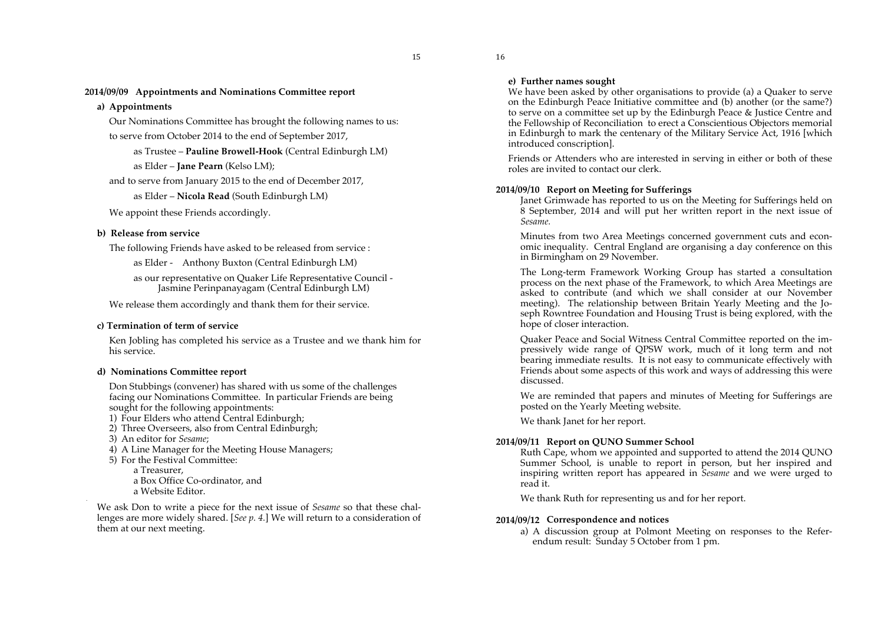**2014/09/09 Appointments and Nominations Committee report** 

#### **a) Appointments**

Our Nominations Committee has brought the following names to us: to serve from October 2014 to the end of September 2017,

as Trustee – **Pauline Browell-Hook** (Central Edinburgh LM) as Elder – **Jane Pearn** (Kelso LM);

and to serve from January 2015 to the end of December 2017,

as Elder – **Nicola Read** (South Edinburgh LM)

We appoint these Friends accordingly.

#### **b) Release from service**

The following Friends have asked to be released from service :

as Elder - Anthony Buxton (Central Edinburgh LM)

as our representative on Quaker Life Representative Council - Jasmine Perinpanayagam (Central Edinburgh LM)

We release them accordingly and thank them for their service.

#### **c) Termination of term of service**

Ken Jobling has completed his service as a Trustee and we thank him for his service.

#### **d) Nominations Committee report**

Don Stubbings (convener) has shared with us some of the challenges facing our Nominations Committee. In particular Friends are being sought for the following appointments:

1) Four Elders who attend Central Edinburgh;

- 2) Three Overseers, also from Central Edinburgh;
- 3) An editor for *Sesame*;
- 4) A Line Manager for the Meeting House Managers;
- 5) For the Festival Committee:

a Treasurer,

.

a Box Office Co-ordinator, and a Website Editor.

We ask Don to write a piece for the next issue of *Sesame* so that these challenges are more widely shared. [*See p. 4.*] We will return to a consideration of them at our next meeting.

#### **e) Further names sought**

16

We have been asked by other organisations to provide (a) a Quaker to serve on the Edinburgh Peace Initiative committee and (b) another (or the same?) to serve on a committee set up by the Edinburgh Peace & Justice Centre and the Fellowship of Reconciliation to erect a Conscientious Objectors memorial in Edinburgh to mark the centenary of the Military Service Act, 1916 [which introduced conscription].

Friends or Attenders who are interested in serving in either or both of these roles are invited to contact our clerk.

#### **2014/09/10 Report on Meeting for Sufferings**

Janet Grimwade has reported to us on the Meeting for Sufferings held on 8 September, 2014 and will put her written report in the next issue of *Sesame.*

Minutes from two Area Meetings concerned government cuts and economic inequality. Central England are organising a day conference on this in Birmingham on 29 November.

The Long-term Framework Working Group has started a consultation process on the next phase of the Framework, to which Area Meetings are asked to contribute (and which we shall consider at our November meeting). The relationship between Britain Yearly Meeting and the Joseph Rowntree Foundation and Housing Trust is being explored, with the hope of closer interaction.

Quaker Peace and Social Witness Central Committee reported on the impressively wide range of QPSW work, much of it long term and not bearing immediate results. It is not easy to communicate effectively with Friends about some aspects of this work and ways of addressing this were discussed.

We are reminded that papers and minutes of Meeting for Sufferings are posted on the Yearly Meeting website.

We thank Janet for her report.

#### **2014/09/11 Report on QUNO Summer School**

Ruth Cape, whom we appointed and supported to attend the 2014 QUNO Summer School, is unable to report in person, but her inspired and inspiring written report has appeared in *Sesame* and we were urged to read it.

We thank Ruth for representing us and for her report.

#### **2014/09/12 Correspondence and notices**

a) A discussion group at Polmont Meeting on responses to the Referendum result: Sunday 5 October from 1 pm.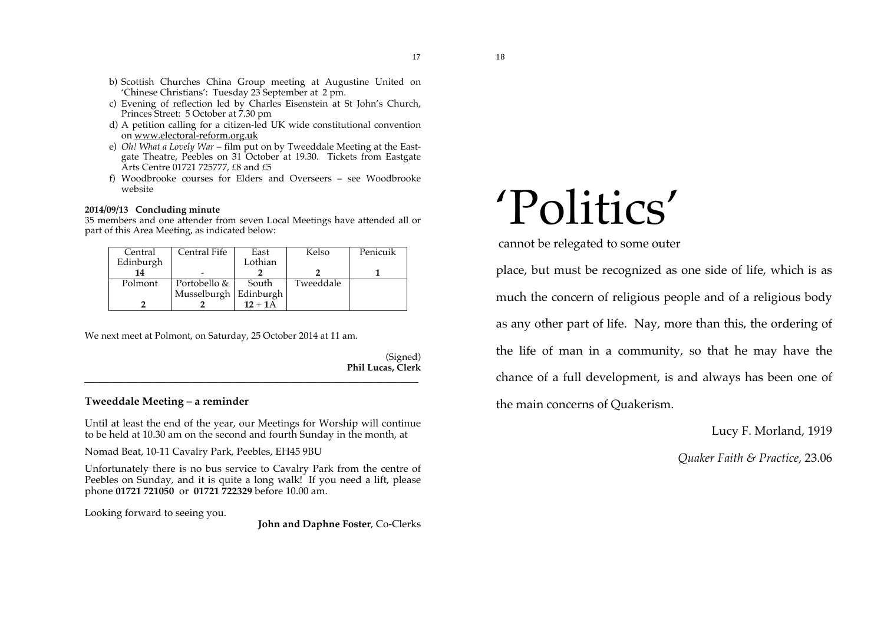17

- b) Scottish Churches China Group meeting at Augustine United on 'Chinese Christians': Tuesday 23 September at 2 pm.
- c) Evening of reflection led by Charles Eisenstein at St John's Church, Princes Street: 5 October at 7.30 pm
- d) A petition calling for a citizen-led UK wide constitutional convention on www.electoral-reform.org.uk
- e) *Oh! What a Lovely War* film put on by Tweeddale Meeting at the Eastgate Theatre, Peebles on 31 October at 19.30. Tickets from Eastgate Arts Centre 01721 725777, £8 and £5
- f) Woodbrooke courses for Elders and Overseers see Woodbrooke website

#### **2014/09/13 Concluding minute**

35 members and one attender from seven Local Meetings have attended all or part of this Area Meeting, as indicated below:

| Central   | Central Fife          | East      | Kelso     | Penicuik |
|-----------|-----------------------|-----------|-----------|----------|
| Edinburgh |                       | Lothian   |           |          |
| 14        |                       |           |           |          |
| Polmont   | Portobello &          | South     | Tweeddale |          |
|           | Musselburgh Edinburgh |           |           |          |
|           |                       | $12 + 1A$ |           |          |

We next meet at Polmont, on Saturday, 25 October 2014 at 11 am.

(Signed) **Phil Lucas, Clerk**

#### **Tweeddale Meeting – a reminder**

Until at least the end of the year, our Meetings for Worship will continue to be held at 10.30 am on the second and fourth Sunday in the month, at

\_\_\_\_\_\_\_\_\_\_\_\_\_\_\_\_\_\_\_\_\_\_\_\_\_\_\_\_\_\_\_\_\_\_\_\_\_\_\_\_\_\_\_\_\_\_\_\_\_\_\_\_\_\_\_\_\_\_\_\_\_\_\_\_\_\_\_\_\_\_\_\_\_\_\_\_\_\_\_\_\_\_\_\_\_\_\_\_\_\_\_\_\_\_\_

Nomad Beat, 10-11 Cavalry Park, Peebles, EH45 9BU

Unfortunately there is no bus service to Cavalry Park from the centre of Peebles on Sunday, and it is quite a long walk! If you need a lift, please phone **01721 721050** or **01721 722329** before 10.00 am.

Looking forward to seeing you.

**John and Daphne Foster**, Co-Clerks

# 'Politics'

cannot be relegated to some outer

place, but must be recognized as one side of life, which is as much the concern of religious people and of a religious body as any other part of life. Nay, more than this, the ordering of the life of man in a community, so that he may have the chance of a full development, is and always has been one of the main concerns of Quakerism.

Lucy F. Morland, 1919

*Quaker Faith & Practice*, 23.06